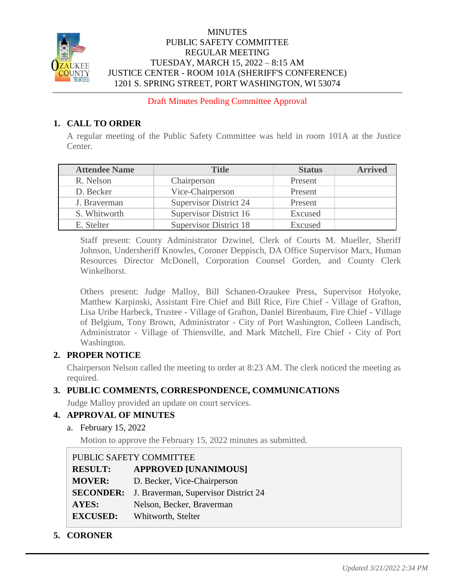

### MINUTES PUBLIC SAFETY COMMITTEE REGULAR MEETING TUESDAY, MARCH 15, 2022 – 8:15 AM JUSTICE CENTER - ROOM 101A (SHERIFF'S CONFERENCE) 1201 S. SPRING STREET, PORT WASHINGTON, WI 53074

Draft Minutes Pending Committee Approval

## **1. CALL TO ORDER**

A regular meeting of the Public Safety Committee was held in room 101A at the Justice Center.

| <b>Attendee Name</b> | <b>Title</b>                  | <b>Status</b> | <b>Arrived</b> |
|----------------------|-------------------------------|---------------|----------------|
| R. Nelson            | Chairperson                   | Present       |                |
| D. Becker            | Vice-Chairperson              | Present       |                |
| J. Braverman         | <b>Supervisor District 24</b> | Present       |                |
| S. Whitworth         | Supervisor District 16        | Excused       |                |
| E. Stelter           | <b>Supervisor District 18</b> | Excused       |                |

Staff present: County Administrator Dzwinel, Clerk of Courts M. Mueller, Sheriff Johnson, Undersheriff Knowles, Coroner Deppisch, DA Office Supervisor Marx, Human Resources Director McDonell, Corporation Counsel Gorden, and County Clerk Winkelhorst.

Others present: Judge Malloy, Bill Schanen-Ozaukee Press, Supervisor Holyoke, Matthew Karpinski, Assistant Fire Chief and Bill Rice, Fire Chief - Village of Grafton, Lisa Uribe Harbeck, Trustee - Village of Grafton, Daniel Birenbaum, Fire Chief - Village of Belgium, Tony Brown, Administrator - City of Port Washington, Colleen Landisch, Administrator - Village of Thiensville, and Mark Mitchell, Fire Chief - City of Port Washington.

## **2. PROPER NOTICE**

Chairperson Nelson called the meeting to order at 8:23 AM. The clerk noticed the meeting as required.

# **3. PUBLIC COMMENTS, CORRESPONDENCE, COMMUNICATIONS**

Judge Malloy provided an update on court services.

## **4. APPROVAL OF MINUTES**

a. February 15, 2022

Motion to approve the February 15, 2022 minutes as submitted.

|                  | PUBLIC SAFETY COMMITTEE              |
|------------------|--------------------------------------|
| <b>RESULT:</b>   | <b>APPROVED [UNANIMOUS]</b>          |
| <b>MOVER:</b>    | D. Becker, Vice-Chairperson          |
| <b>SECONDER:</b> | J. Braverman, Supervisor District 24 |
| AYES:            | Nelson, Becker, Braverman            |
| <b>EXCUSED:</b>  | Whitworth, Stelter                   |

**5. CORONER**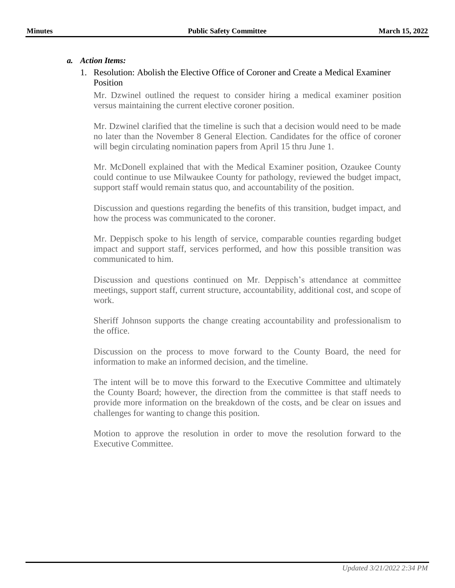#### *a. Action Items:*

#### 1. Resolution: Abolish the Elective Office of Coroner and Create a Medical Examiner Position

Mr. Dzwinel outlined the request to consider hiring a medical examiner position versus maintaining the current elective coroner position.

Mr. Dzwinel clarified that the timeline is such that a decision would need to be made no later than the November 8 General Election. Candidates for the office of coroner will begin circulating nomination papers from April 15 thru June 1.

Mr. McDonell explained that with the Medical Examiner position, Ozaukee County could continue to use Milwaukee County for pathology, reviewed the budget impact, support staff would remain status quo, and accountability of the position.

Discussion and questions regarding the benefits of this transition, budget impact, and how the process was communicated to the coroner.

Mr. Deppisch spoke to his length of service, comparable counties regarding budget impact and support staff, services performed, and how this possible transition was communicated to him.

Discussion and questions continued on Mr. Deppisch's attendance at committee meetings, support staff, current structure, accountability, additional cost, and scope of work.

Sheriff Johnson supports the change creating accountability and professionalism to the office.

Discussion on the process to move forward to the County Board, the need for information to make an informed decision, and the timeline.

The intent will be to move this forward to the Executive Committee and ultimately the County Board; however, the direction from the committee is that staff needs to provide more information on the breakdown of the costs, and be clear on issues and challenges for wanting to change this position.

Motion to approve the resolution in order to move the resolution forward to the Executive Committee.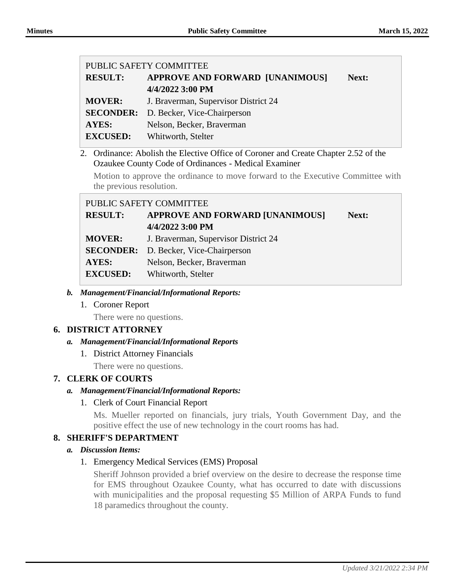|                |                          | PUBLIC SAFETY COMMITTEE                                                                                                                  |       |  |  |
|----------------|--------------------------|------------------------------------------------------------------------------------------------------------------------------------------|-------|--|--|
|                | <b>RESULT:</b>           | <b>APPROVE AND FORWARD [UNANIMOUS]</b>                                                                                                   | Next: |  |  |
|                |                          | 4/4/2022 3:00 PM                                                                                                                         |       |  |  |
|                | <b>MOVER:</b>            | J. Braverman, Supervisor District 24                                                                                                     |       |  |  |
|                | <b>SECONDER:</b>         | D. Becker, Vice-Chairperson                                                                                                              |       |  |  |
|                | <b>AYES:</b>             | Nelson, Becker, Braverman                                                                                                                |       |  |  |
|                | <b>EXCUSED:</b>          | Whitworth, Stelter                                                                                                                       |       |  |  |
|                | 2.                       | Ordinance: Abolish the Elective Office of Coroner and Create Chapter 2.52 of the<br>Ozaukee County Code of Ordinances - Medical Examiner |       |  |  |
|                | the previous resolution. | Motion to approve the ordinance to move forward to the Executive Committee with                                                          |       |  |  |
|                | PUBLIC SAFETY COMMITTEE  |                                                                                                                                          |       |  |  |
|                | <b>RESULT:</b>           | <b>APPROVE AND FORWARD [UNANIMOUS]</b>                                                                                                   | Next: |  |  |
|                |                          | 4/4/2022 3:00 PM                                                                                                                         |       |  |  |
|                | <b>MOVER:</b>            | J. Braverman, Supervisor District 24                                                                                                     |       |  |  |
|                | <b>SECONDER:</b>         | D. Becker, Vice-Chairperson                                                                                                              |       |  |  |
|                | <b>AYES:</b>             | Nelson, Becker, Braverman                                                                                                                |       |  |  |
|                | <b>EXCUSED:</b>          | Whitworth, Stelter                                                                                                                       |       |  |  |
| $\mathbf{b}$ . |                          | <b>Management/Financial/Informational Reports:</b>                                                                                       |       |  |  |
|                | 1. Coroner Report        |                                                                                                                                          |       |  |  |
|                | There were no questions. |                                                                                                                                          |       |  |  |
|                | <b>DISTRICT ATTORNEY</b> |                                                                                                                                          |       |  |  |
|                |                          | <b>Management/Financial/Informational Reports</b>                                                                                        |       |  |  |
| а.             |                          |                                                                                                                                          |       |  |  |

- 1. District Attorney Financials
	- There were no questions.

## **7. CLERK OF COURTS**

## *a. Management/Financial/Informational Reports:*

1. Clerk of Court Financial Report

Ms. Mueller reported on financials, jury trials, Youth Government Day, and the positive effect the use of new technology in the court rooms has had.

## **8. SHERIFF'S DEPARTMENT**

## *a. Discussion Items:*

1. Emergency Medical Services (EMS) Proposal

Sheriff Johnson provided a brief overview on the desire to decrease the response time for EMS throughout Ozaukee County, what has occurred to date with discussions with municipalities and the proposal requesting \$5 Million of ARPA Funds to fund 18 paramedics throughout the county.